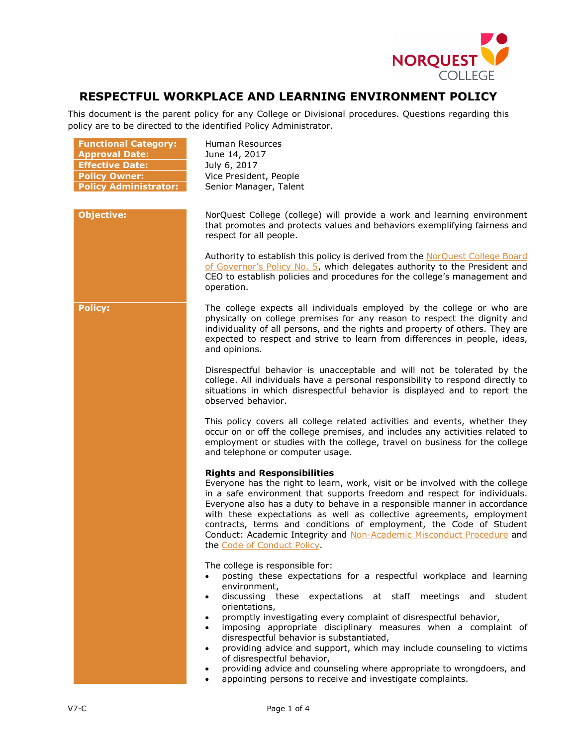

## **RESPECTFUL WORKPLACE AND LEARNING ENVIRONMENT POLICY**

This document is the parent policy for any College or Divisional procedures. Questions regarding this policy are to be directed to the identified Policy Administrator.

| <b>Functional Category:</b><br><b>Approval Date:</b><br><b>Effective Date:</b><br><b>Policy Owner:</b><br><b>Policy Administrator:</b> | Human Resources<br>June 14, 2017<br>July 6, 2017<br>Vice President, People<br>Senior Manager, Talent                                                                                                                                                                                                                                                                                                                                                                                                                                                                                                                                                                                     |
|----------------------------------------------------------------------------------------------------------------------------------------|------------------------------------------------------------------------------------------------------------------------------------------------------------------------------------------------------------------------------------------------------------------------------------------------------------------------------------------------------------------------------------------------------------------------------------------------------------------------------------------------------------------------------------------------------------------------------------------------------------------------------------------------------------------------------------------|
| <b>Objective:</b>                                                                                                                      | NorQuest College (college) will provide a work and learning environment<br>that promotes and protects values and behaviors exemplifying fairness and<br>respect for all people.                                                                                                                                                                                                                                                                                                                                                                                                                                                                                                          |
|                                                                                                                                        | Authority to establish this policy is derived from the NorQuest College Board<br>of Governor's Policy No. 5, which delegates authority to the President and<br>CEO to establish policies and procedures for the college's management and<br>operation.                                                                                                                                                                                                                                                                                                                                                                                                                                   |
| <b>Policy:</b>                                                                                                                         | The college expects all individuals employed by the college or who are<br>physically on college premises for any reason to respect the dignity and<br>individuality of all persons, and the rights and property of others. They are<br>expected to respect and strive to learn from differences in people, ideas,<br>and opinions.                                                                                                                                                                                                                                                                                                                                                       |
|                                                                                                                                        | Disrespectful behavior is unacceptable and will not be tolerated by the<br>college. All individuals have a personal responsibility to respond directly to<br>situations in which disrespectful behavior is displayed and to report the<br>observed behavior.                                                                                                                                                                                                                                                                                                                                                                                                                             |
|                                                                                                                                        | This policy covers all college related activities and events, whether they<br>occur on or off the college premises, and includes any activities related to<br>employment or studies with the college, travel on business for the college<br>and telephone or computer usage.                                                                                                                                                                                                                                                                                                                                                                                                             |
|                                                                                                                                        | <b>Rights and Responsibilities</b><br>Everyone has the right to learn, work, visit or be involved with the college<br>in a safe environment that supports freedom and respect for individuals.<br>Everyone also has a duty to behave in a responsible manner in accordance<br>with these expectations as well as collective agreements, employment<br>contracts, terms and conditions of employment, the Code of Student<br>Conduct: Academic Integrity and Non-Academic Misconduct Procedure and<br>the Code of Conduct Policy.                                                                                                                                                         |
|                                                                                                                                        | The college is responsible for:<br>posting these expectations for a respectful workplace and learning<br>environment,<br>discussing these expectations at staff meetings and student<br>$\bullet$<br>orientations,<br>promptly investigating every complaint of disrespectful behavior,<br>$\bullet$<br>imposing appropriate disciplinary measures when a complaint of<br>$\bullet$<br>disrespectful behavior is substantiated,<br>providing advice and support, which may include counseling to victims<br>$\bullet$<br>of disrespectful behavior,<br>providing advice and counseling where appropriate to wrongdoers, and<br>appointing persons to receive and investigate complaints. |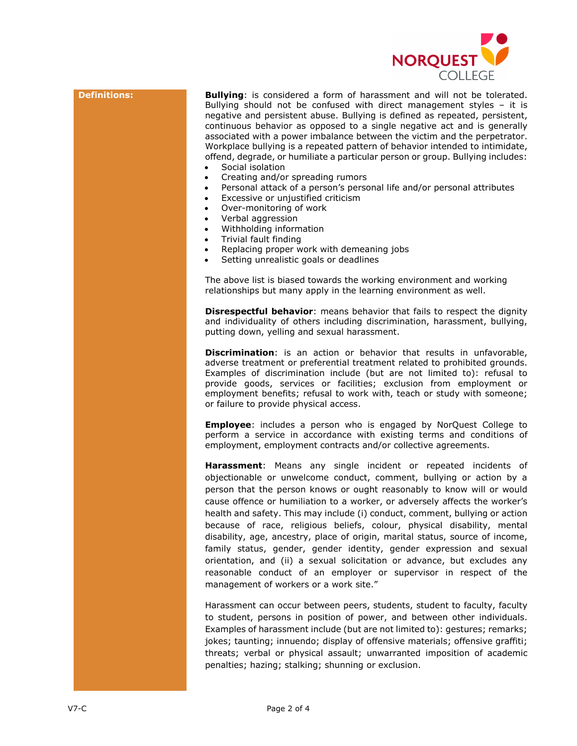

**Definitions: Bullying**: is considered a form of harassment and will not be tolerated. Bullying should not be confused with direct management styles – it is negative and persistent abuse. Bullying is defined as repeated, persistent, continuous behavior as opposed to a single negative act and is generally associated with a power imbalance between the victim and the perpetrator. Workplace bullying is a repeated pattern of behavior intended to intimidate, offend, degrade, or humiliate a particular person or group. Bullying includes:

- Social isolation
- Creating and/or spreading rumors
- Personal attack of a person's personal life and/or personal attributes
- Excessive or unjustified criticism
- Over-monitoring of work
- Verbal aggression
- Withholding information
- Trivial fault finding
- Replacing proper work with demeaning jobs
- Setting unrealistic goals or deadlines

The above list is biased towards the working environment and working relationships but many apply in the learning environment as well.

**Disrespectful behavior**: means behavior that fails to respect the dignity and individuality of others including discrimination, harassment, bullying, putting down, yelling and sexual harassment.

**Discrimination**: is an action or behavior that results in unfavorable, adverse treatment or preferential treatment related to prohibited grounds. Examples of discrimination include (but are not limited to): refusal to provide goods, services or facilities; exclusion from employment or employment benefits; refusal to work with, teach or study with someone; or failure to provide physical access.

**Employee**: includes a person who is engaged by NorQuest College to perform a service in accordance with existing terms and conditions of employment, employment contracts and/or collective agreements.

**Harassment**: Means any single incident or repeated incidents of objectionable or unwelcome conduct, comment, bullying or action by a person that the person knows or ought reasonably to know will or would cause offence or humiliation to a worker, or adversely affects the worker's health and safety. This may include (i) conduct, comment, bullying or action because of race, religious beliefs, colour, physical disability, mental disability, age, ancestry, place of origin, marital status, source of income, family status, gender, gender identity, gender expression and sexual orientation, and (ii) a sexual solicitation or advance, but excludes any reasonable conduct of an employer or supervisor in respect of the management of workers or a work site."

Harassment can occur between peers, students, student to faculty, faculty to student, persons in position of power, and between other individuals. Examples of harassment include (but are not limited to): gestures; remarks; jokes; taunting; innuendo; display of offensive materials; offensive graffiti; threats; verbal or physical assault; unwarranted imposition of academic penalties; hazing; stalking; shunning or exclusion.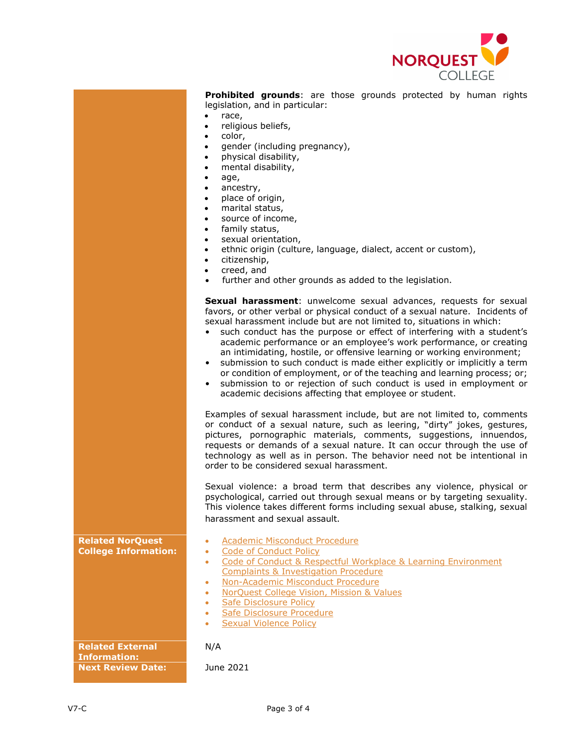

**Prohibited grounds**: are those grounds protected by human rights legislation, and in particular:

- race,
- religious beliefs,
- color,
- gender (including pregnancy),
- physical disability,
- mental disability,
- age,
- ancestry,
- place of origin,
- marital status,
- source of income,
- family status,
- sexual orientation,
- ethnic origin (culture, language, dialect, accent or custom),
- citizenship,
- creed, and
- further and other grounds as added to the legislation.

**Sexual harassment**: unwelcome sexual advances, requests for sexual favors, or other verbal or physical conduct of a sexual nature. Incidents of sexual harassment include but are not limited to, situations in which:

- such conduct has the purpose or effect of interfering with a student's academic performance or an employee's work performance, or creating an intimidating, hostile, or offensive learning or working environment;
- submission to such conduct is made either explicitly or implicitly a term or condition of employment, or of the teaching and learning process; or;
- submission to or rejection of such conduct is used in employment or academic decisions affecting that employee or student.

Examples of sexual harassment include, but are not limited to, comments or conduct of a sexual nature, such as leering, "dirty" jokes, gestures, pictures, pornographic materials, comments, suggestions, innuendos, requests or demands of a sexual nature. It can occur through the use of technology as well as in person. The behavior need not be intentional in order to be considered sexual harassment.

Sexual violence: a broad term that describes any violence, physical or psychological, carried out through sexual means or by targeting sexuality. This violence takes different forms including sexual abuse, stalking, sexual harassment and sexual assault.

- **Related NorQuest College Information:**
- [Academic Misconduct Procedure](https://www.norquest.ca/about-us/policies-procedures/academic/student-judicial-affairs-policy/academic-misconduct-procedure.aspx)
- Code of Conduct Policy
- Code of Conduct & Respectful Workplace & Learning Environment [Complaints & Investigation Procedure](https://www.norquest.ca/about-us/policies-procedures/human-resources/code-of-conduct-policy/code-of-conduct-respectful-workplace-learning.aspx)
- [Non-Academic Misconduct Procedure](https://www.norquest.ca/about-us/policies-procedures/academic/student-judicial-affairs-policy/non-academic-misconduct-procedure.aspx)
- [NorQuest College Vision, Mission & Values](http://www.norquest.ca/about-us/vision,-mission-values.aspx)
- [Safe Disclosure Policy](https://www.norquest.ca/about-us/policies-procedures/human-resources/safe-disclosure-policy.aspx)
- [Safe Disclosure Procedure](https://www.norquest.ca/about-us/policies-procedures/human-resources/safe-disclosure-policy/safe-disclosure-procedure.aspx)
- **[Sexual Violence Policy](https://www.norquest.ca/about-us/policies-procedures/operations/sexual-violence-policy.aspx)**

**Related External Information: Next Review Date:** June 2021

N/A